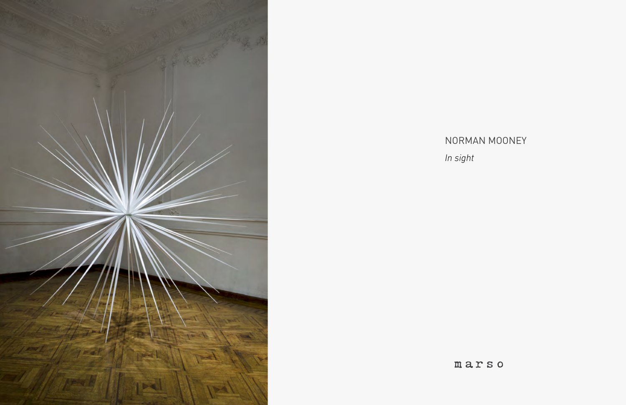

## NORMAN MOONEY

*In sight*

## marso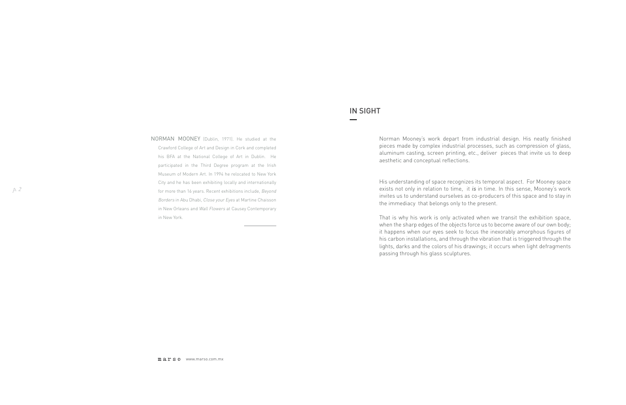Norman Mooney's work depart from industrial design. His neatly finished pieces made by complex industrial processes, such as compression of glass, aluminum casting, screen printing, etc., deliver pieces that invite us to deep aesthetic and conceptual reflections.

His understanding of space recognizes its temporal aspect. For Mooney space exists not only in relation to time, it is in time. In this sense, Mooney's work invites us to understand ourselves as co-producers of this space and to stay in the immediacy that belongs only to the present.

That is why his work is only activated when we transit the exhibition space, when the sharp edges of the objects force us to become aware of our own body; it happens when our eyes seek to focus the inexorably amorphous figures of his carbon installations, and through the vibration that is triggered through the lights, darks and the colors of his drawings; it occurs when light defragments passing through his glass sculptures.

NORMAN MOONEY (Dublin, 1971). He studied at the Crawford College of Art and Design in Cork and completed his BFA at the National College of Art in Dublin. He participated in the Third Degree program at the Irish Museum of Modern Art. In 1994 he relocated to New York City and he has been exhibiting locally and internationally for more than 16 years. Recent exhibitions include, Beyond Borders in Abu Dhabi, Close your Eyes at Martine Chaisson in New Orleans and Wall Flowers at Causey Contemporary in New York.

## IN SIGHT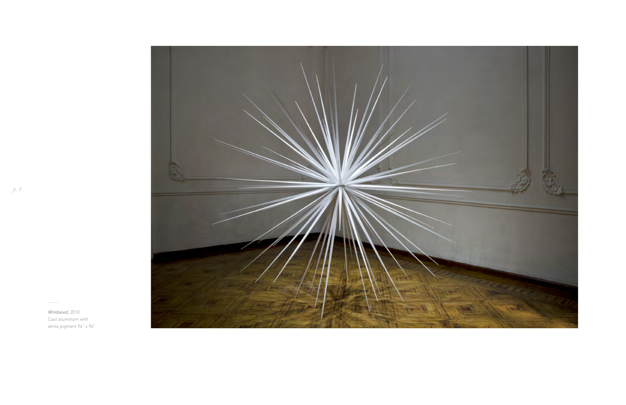

Windseed, 2010 Cast aluminum with white pigment 96" x 96"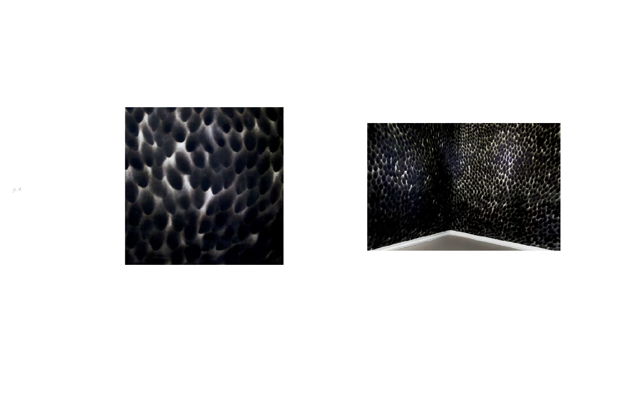

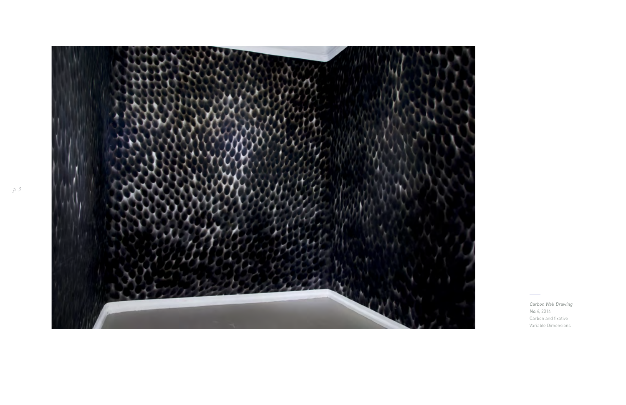

Carbon Wall Drawing No.4, 2014 Carbon and fixative Variable Dimensions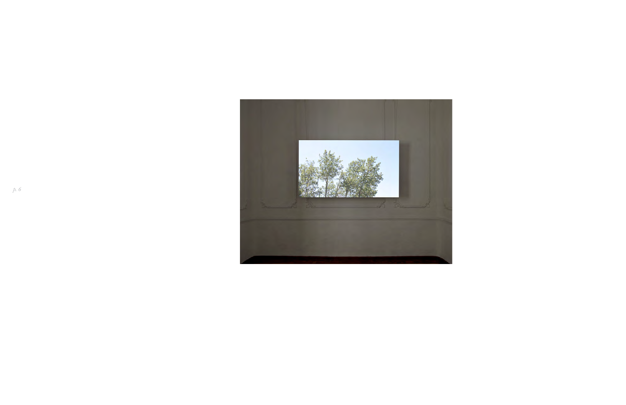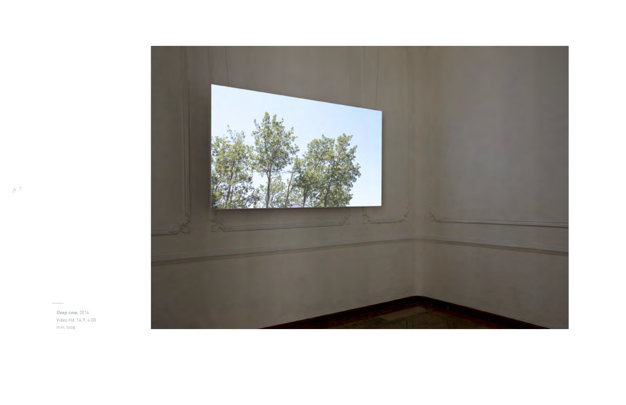

Deep cove, 2014 Video Hd, 16:9, 4:00 min, loop.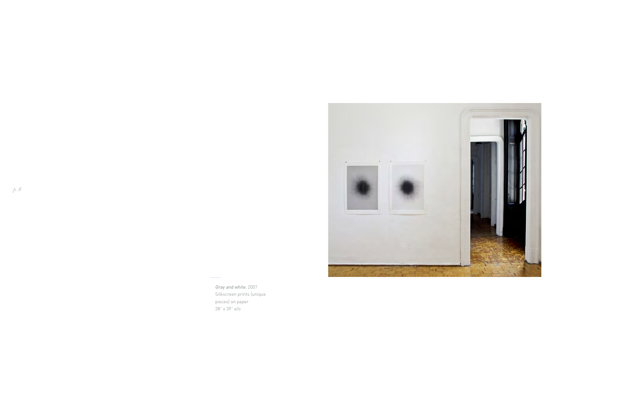

Gray and white, 2007 Silkscreen prints (unique pieces) on paper 28" x 39" e/o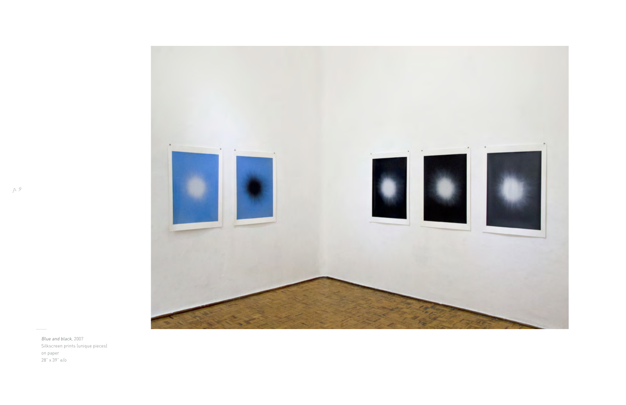

Blue and black, 2007 Silkscreen prints (unique pieces) on paper 28" x 39" e/o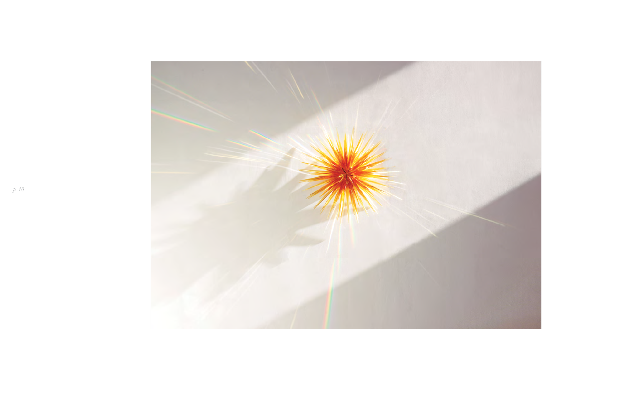

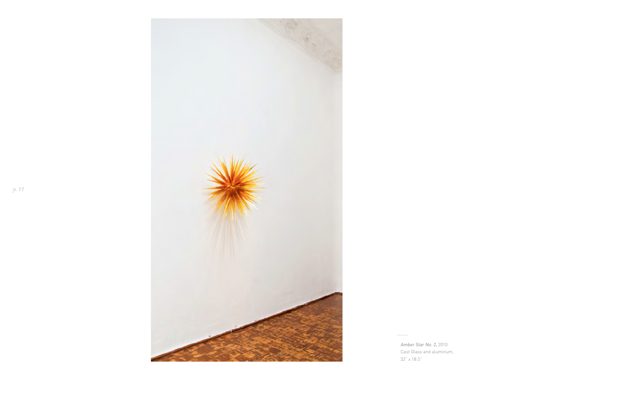

Amber Star No. 2, 2010 Cast Glass and aluminum, 32" x 18.5"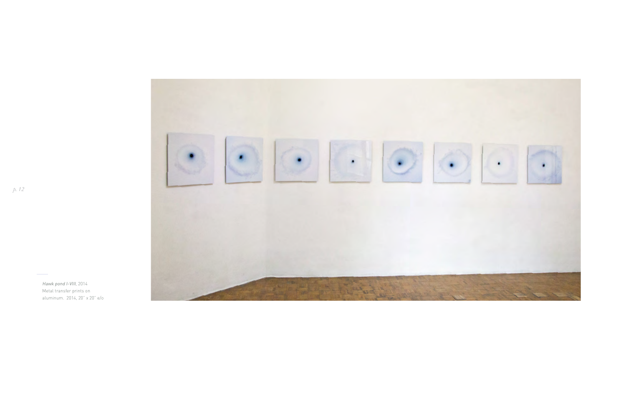

Hawk pond I-VIII, 2014 Metal transfer prints on aluminum. 2014, 20" x 20" e/o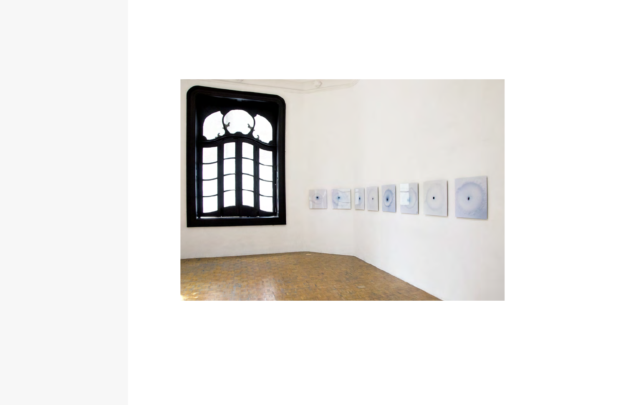